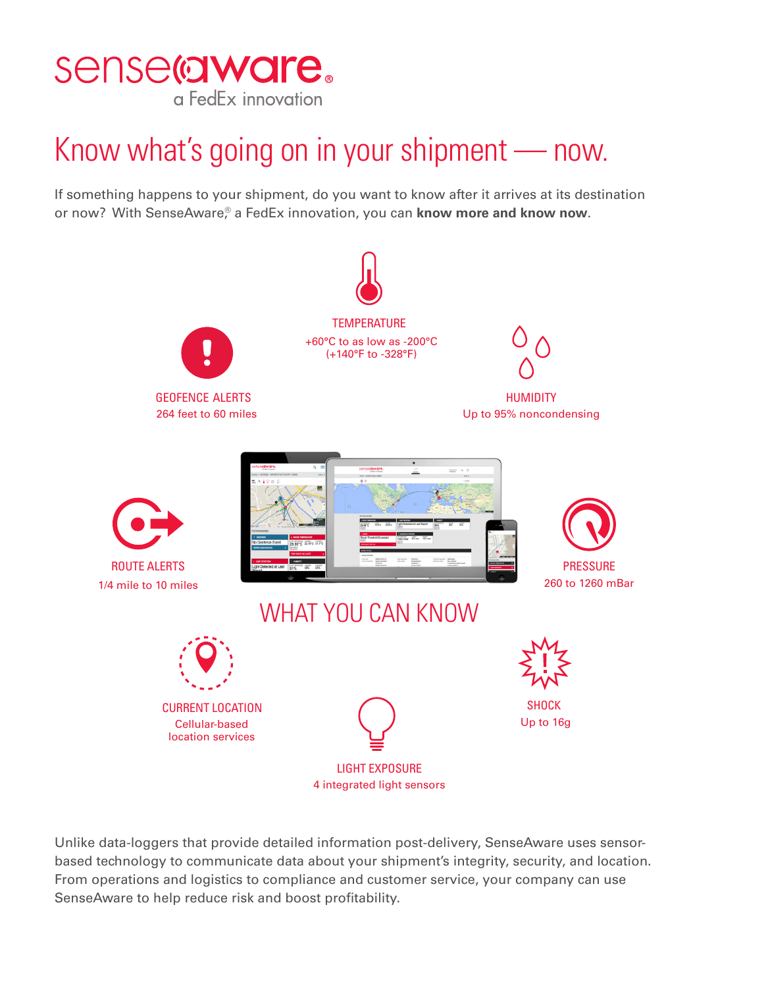

## Know what's going on in your shipment — now.

If something happens to your shipment, do you want to know after it arrives at its destination or now? With SenseAware,<sup>®</sup> a FedEx innovation, you can **know more and know now**.



Unlike data-loggers that provide detailed information post-delivery, SenseAware uses sensorbased technology to communicate data about your shipment's integrity, security, and location. From operations and logistics to compliance and customer service, your company can use SenseAware to help reduce risk and boost profitability.